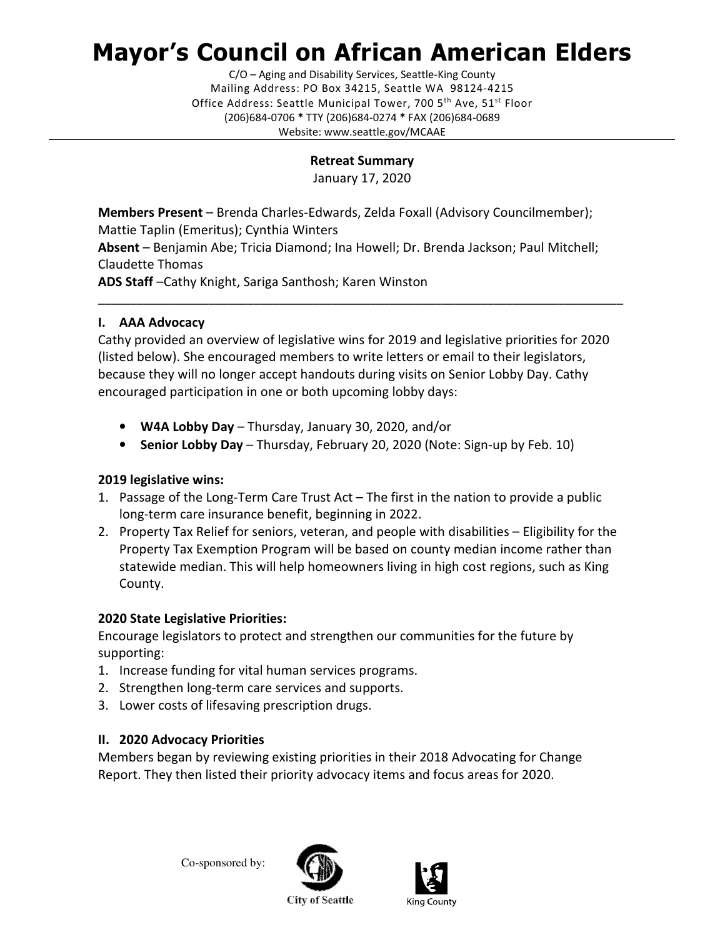# Mayor's Council on African American Elders

C/O – Aging and Disability Services, Seattle-King County Mailing Address: PO Box 34215, Seattle WA 98124-4215 Office Address: Seattle Municipal Tower, 700 5<sup>th</sup> Ave, 51<sup>st</sup> Floor (206)684-0706 \* TTY (206)684-0274 \* FAX (206)684-0689 Website: www.seattle.gov/MCAAE

#### Retreat Summary

January 17, 2020

Members Present – Brenda Charles-Edwards, Zelda Foxall (Advisory Councilmember); Mattie Taplin (Emeritus); Cynthia Winters

Absent – Benjamin Abe; Tricia Diamond; Ina Howell; Dr. Brenda Jackson; Paul Mitchell; Claudette Thomas

ADS Staff –Cathy Knight, Sariga Santhosh; Karen Winston

## I. AAA Advocacy

Cathy provided an overview of legislative wins for 2019 and legislative priorities for 2020 (listed below). She encouraged members to write letters or email to their legislators, because they will no longer accept handouts during visits on Senior Lobby Day. Cathy encouraged participation in one or both upcoming lobby days:

\_\_\_\_\_\_\_\_\_\_\_\_\_\_\_\_\_\_\_\_\_\_\_\_\_\_\_\_\_\_\_\_\_\_\_\_\_\_\_\_\_\_\_\_\_\_\_\_\_\_\_\_\_\_\_\_\_\_\_\_\_\_\_\_\_\_\_\_\_\_\_\_\_\_\_\_\_\_\_\_\_

- W4A Lobby Day Thursday, January 30, 2020, and/or
- Senior Lobby Day Thursday, February 20, 2020 (Note: Sign-up by Feb. 10)

### 2019 legislative wins:

- 1. Passage of the Long-Term Care Trust Act The first in the nation to provide a public long-term care insurance benefit, beginning in 2022.
- 2. Property Tax Relief for seniors, veteran, and people with disabilities Eligibility for the Property Tax Exemption Program will be based on county median income rather than statewide median. This will help homeowners living in high cost regions, such as King County.

### 2020 State Legislative Priorities:

Encourage legislators to protect and strengthen our communities for the future by supporting:

- 1. Increase funding for vital human services programs.
- 2. Strengthen long-term care services and supports.
- 3. Lower costs of lifesaving prescription drugs.

### II. 2020 Advocacy Priorities

Members began by reviewing existing priorities in their 2018 Advocating for Change Report. They then listed their priority advocacy items and focus areas for 2020.





**City of Seattle**